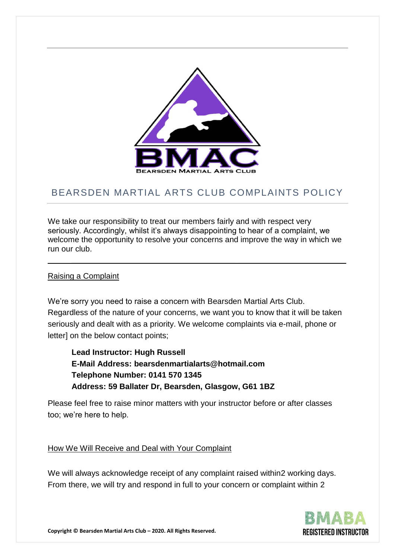

## BEARSDEN MARTIAL ARTS CLUB COMPLAINTS POLICY

We take our responsibility to treat our members fairly and with respect very seriously. Accordingly, whilst it's always disappointing to hear of a complaint, we welcome the opportunity to resolve your concerns and improve the way in which we run our club.

\_\_\_\_\_\_\_\_\_\_\_\_\_\_\_\_\_\_\_\_\_\_\_\_\_\_\_\_\_\_\_\_\_\_\_\_\_\_\_\_\_\_\_\_\_\_\_\_\_\_\_\_\_\_\_\_\_\_\_\_\_\_

## Raising a Complaint

We're sorry you need to raise a concern with Bearsden Martial Arts Club. Regardless of the nature of your concerns, we want you to know that it will be taken seriously and dealt with as a priority. We welcome complaints via e-mail, phone or letter] on the below contact points;

**Lead Instructor: Hugh Russell E-Mail Address: bearsdenmartialarts@hotmail.com Telephone Number: 0141 570 1345 Address: 59 Ballater Dr, Bearsden, Glasgow, G61 1BZ**

Please feel free to raise minor matters with your instructor before or after classes too; we're here to help.

## How We Will Receive and Deal with Your Complaint

We will always acknowledge receipt of any complaint raised within2 working days. From there, we will try and respond in full to your concern or complaint within 2